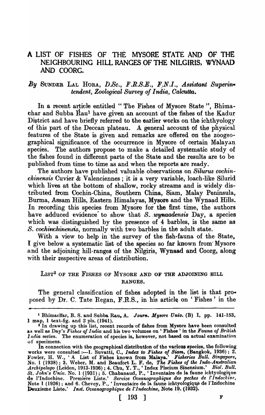## A LIST OF FISHES OF THE MYSOR£ STATE AND OF THE NEIGHBOURING HILL RANGES OF THE NILGIRIS, WYNAAD AND COORC.

## By SUNDER LAL HORA, D.Sc., F.R.S.E., F.N.I., Assistant Superin*tendent, Zoological Survey of India, Calcutta.*

In a recent article entitled "The Fishes of Mysore State", Bhimachar and Subba Raul have given an account of the fishes of the Kadur District and have briefly referred to the earlier works on the ichthyology of this part of the Deccan plateau. A general account of the physical features of the State is given and remarks are offered on the zoogeographical significance. of the occurrence in Mysore of certain Malayan species. The authors propose to make a detailed systematic study of the fishes found in different parts of the State and the results are to be published from time to time as and when the reports are ready.

The authors have published valuable observations on *Silurus cochinchinensis* Cuvier & Valenciennes; it is a very variable, loach-like Silurid which lives at the bottom of shallow, rocky streams and is widely distributed from Cochin-China, Southern China, Siam, Malay Peninsula, Burma, Assam Bills, Eastern Himalayas, Mysore and the Wynaad Hills. In recording this species from Mysore for the first time, the' authors have adduced evidence to show that *S. wynandensis* Day, a species which was distinguished by the presence of 4 barbles, is the same as S. cochinchinensis, normally with two barbles in the adult state.

With a view to help in the survey of the fish-fauna of the State, I give below a systematic list of the species so far known from Mysore and the adjoining hill-ranges of the Nilgiris, Wynaad and Coorg, along with their respective areas of distribution.

## LIST<sup>2</sup> OF THE FISHES OF MYSORE AND OF THE ADJOINING HILL RANGES.

The general classification of fishes adopted in the list is that proposed by Dr. C. Tate Regan, F.R.S., in his article on 'Fishes' in the

•

<sup>&</sup>lt;sup>1</sup> Bhimachar, B. S. and Subba Rau, A. *Journ. Mysore Univ.* (B) I, pp. 141-153, 1 map, 1 text-fig. and 2 pls.  $(1941)$ .

 $2$  In drawing up this list, recent records of fishes from Mysore have been consulted as well as Day's *Fishes of India* and his two volumes on 'Fishes' in the *Fauna of British India* series. The enumeration of species is, however, not based on actual examination of specimens.

In connection with the geographical distribution of the various species, the following works were consulted :-1. Suvatti, C., *Index to Fishes of Siam*, (Bangkok, 1936); 2. Fowler, H. W., 'A List of Fishes known from Malaya.' *Fi8hef'ie8 B,ull. Singapore,*  No.1 (1938); 3. Weber, M. and Beaufort L. F. de, *The FiBke8 of the Indo-Au8tralian Archipelago* (Leiden, 1913-1936) ; 4. Chu, Y. T., ' Index Piscium Sinensium.' *Bioi. Bull. St. John's Univ.* No.1 (1931) ; 5. Chabanaud, P., 'Inventaire de Ia faune ichtyoIogique de l'Indochine. Premiere Liste.' *Service Oceanographique des peches de l'Indochine*, Note 1 (1926); and 6. Chevey, P., 'Inventaire de la faune ichtyologique de l'Indochine Deuxieme Liste.' *Inst. Oceanographique de l'Indochine*, Note 19. (1932).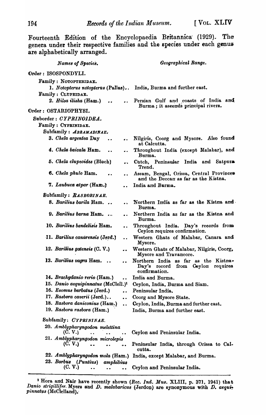Fourteenth Edition of the Encyclopaedia Britannica (1929). The genera under their respective families and the species under each genus are alphabetically arranged.

| Names of Species.                                                                                                                    | Geographical Range.                                                                           |
|--------------------------------------------------------------------------------------------------------------------------------------|-----------------------------------------------------------------------------------------------|
| Order: ISOSPONDYLI.                                                                                                                  |                                                                                               |
| Family : NOTOPTERIDAE.<br>1. Notopterus notopterus (Pallas)<br>Family : CLUPEIDAE.<br>2. Hilsa ilisha (Ham.)<br>$\ddot{\phantom{a}}$ | India, Burma and further east.<br>Persian Gulf and coasts of India and                        |
| Order: OSTARIOPHYSI.                                                                                                                 | Burma; it ascends principal rivers.                                                           |
| Suborder: CYPRINOIDEA.<br>Family: CYPRINIDAE.                                                                                        |                                                                                               |
| Subfamily: ABRAMADINAE.                                                                                                              |                                                                                               |
| 3. Chela argentea Day<br>$\bullet$ $\bullet$                                                                                         | Nilgiris, Coorg and Mysore. Also found<br>at Calcutta.                                        |
| 4. Chela baicala Ham.                                                                                                                | Throughout India (except Malabar), and<br>Burma.                                              |
| 5. Chela clupeoides (Bloch)                                                                                                          | Cutch, Peninsular India and<br>Satpura<br>Trend.                                              |
| 6. Chela phulo Ham.                                                                                                                  | Assam, Bengal, Orissa, Central Provinces<br>and the Deccan as far as the Kistna.              |
| 7. Laubuca atpar (Ham.)                                                                                                              | India and Burma.                                                                              |
| Subfamily: RASBORINAE.                                                                                                               |                                                                                               |
| 8. Barilius barila Ham<br>$\bullet$ $\ddot{\bullet}$                                                                                 | Northern India as far as the Kistna and<br>Burma.                                             |
| 9. Barilius barna Ham                                                                                                                | Northern India as far as the Kistna and<br>Burma.                                             |
| 10. Barilius bendelisis Ham.                                                                                                         | Throughout India. Day's records from<br>Ceylon requires confirmation.                         |
| 11. Barilius canarensis (Jerd.)                                                                                                      | Western Ghats of Malabar, Canara and<br>Mysore.                                               |
| 12. Barilius gatensis (C. V.)                                                                                                        | Western Ghats of Malabar, Nilgiris, Coorg,<br>Mysore and Travancore.                          |
| 13. Barilius vagra Ham.                                                                                                              | Northern India as far as the Kistna.<br>Day's record from Coylon<br>requires<br>confirmation. |
| 14. Brachydanio rerio (Ham.)<br>$\ddot{\phantom{a}}$                                                                                 | India and Burma.                                                                              |
| 15. Danio aequipinnatus (McClell.) <sup>1</sup>                                                                                      | Ceylon, India, Burma and Siam.                                                                |
| 16. Esomus barbatus (Jerd.)<br>. .                                                                                                   | Peninsular India.                                                                             |
| 17. Rasbora caverii (Jerd.)<br>$\ddot{\phantom{0}}$                                                                                  | Coorg and Mysore State.                                                                       |
| 18. Rasbora daniconius (Ham.)<br>$\ddot{\phantom{a}}$                                                                                | Ceylon, India, Burma and further east.                                                        |
| 19. Rasbora rasbora (Ham.)                                                                                                           | India, Burma and further east.                                                                |
| Subfamily: CYPRININAE.                                                                                                               |                                                                                               |
| 20. Amblypharyngodon melettina<br>(C. V.)                                                                                            | Ceylon and Peninsular India.                                                                  |
| 21. Amblypharyngodon microlepis                                                                                                      |                                                                                               |
| (C. V.)                                                                                                                              | Peninsular India, through Orissa to Cal-<br>cutta.                                            |
| 22. Amblypharyngodon mola (Ham.)                                                                                                     | India, except Malabar, and Burma.                                                             |
| 23. Barbus (Puntius)<br>amphibius<br>(C, V)                                                                                          | Ceylon and Peninsular India.                                                                  |
|                                                                                                                                      |                                                                                               |

<sup>&</sup>lt;sup>1</sup> Hora and Nair have recently shown (Rec. Ind. Mus. XLIII, p. 371, 1941) that *Danio strigillifer*. Myers and *D. malabaricus* (Jerdon) are synonymous with *D. aequispinnatus* (McClelland).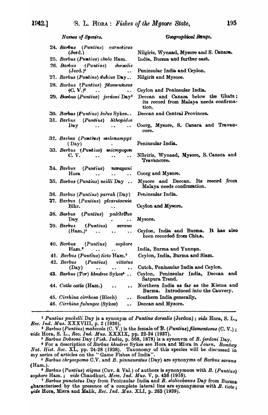Names of Species.

Geographical Range.

| 24. Barbus (Puntius) carnaticus<br>(Jerd.)                                                                                                                                                                                                 | Nilgiris, Wynaad, Mysore and S. Canara.                                               |
|--------------------------------------------------------------------------------------------------------------------------------------------------------------------------------------------------------------------------------------------|---------------------------------------------------------------------------------------|
| 25. Barbus (Puntius) chola Ham.                                                                                                                                                                                                            | India, Burma and further east.                                                        |
| 26. Barbus (Puntius) dorsalis<br>(Jerd.) <sup>2</sup><br>$\ddot{\phantom{a}}$                                                                                                                                                              | Peninsular India and Ceylon.                                                          |
| 27. Barbus (Puntius) dubius Day                                                                                                                                                                                                            | Nilgiris and Mysore.                                                                  |
| 28. Barbus (Puntius) filamentosus<br>$(C, V)^2$<br>$\ddot{\phantom{a}}$                                                                                                                                                                    | Ceylon and Peninsular India.                                                          |
| 29. Barbus (Puntius) jerdoni Day <sup>3</sup>                                                                                                                                                                                              | Deccan and Canara below the Ghats;<br>its record from Malaya needs confirma-<br>tion. |
| 30. Barbus (Puntius) kolus Sykes                                                                                                                                                                                                           | Deccan and Central Provinces.                                                         |
| 31. Barbus (Puntius) lithopidos                                                                                                                                                                                                            |                                                                                       |
| $Day \t\t \t \t$                                                                                                                                                                                                                           | Coorg, Mysore, S. Canara and Travan.<br>core.                                         |
| 32. Barbus (Puntius) melanampyx                                                                                                                                                                                                            |                                                                                       |
| (Day)<br>$\mathbf{A} \mathbf{B}$ and $\mathbf{B}$                                                                                                                                                                                          | Peninsular India.                                                                     |
| 33. Barbus (Puntius) micropogon<br>$C. V.$<br>$\bullet$ $\bullet$ .<br><br><br><br><br><br><br><br><br><br><br><br><br><br><br><br><br><br><br><br><br><br><br><br><br><br><br><br><br><br><br><br><br><br><br><br><br>$\bullet$ $\bullet$ | Nilgiris, Wynaad, Mysore, S. Cansra and<br>Travancore.                                |
| 34. Barbus (Puntius) narayani                                                                                                                                                                                                              |                                                                                       |
| Hora<br>$\cdots$                                                                                                                                                                                                                           | Coorg and Mysore.                                                                     |
| 35. Barbus (Puntius) neilli Day                                                                                                                                                                                                            | Mysore and Deccan. Its record from<br>Malaya needs confirmation.                      |
| 36. Barbus (Puntius) parrah (Day)                                                                                                                                                                                                          | Peninsular India.                                                                     |
| 37. Barbus (Puntius) pleurotaenia                                                                                                                                                                                                          |                                                                                       |
| Blkr.                                                                                                                                                                                                                                      | Ceylon and Mysore.                                                                    |
| 38. Barbus (Puntius) pulchellus                                                                                                                                                                                                            |                                                                                       |
| Day $\qquad \qquad \bullet$ $\qquad \bullet$                                                                                                                                                                                               | Mysore.                                                                               |
| 39. Barbus (Puntius) sarana                                                                                                                                                                                                                |                                                                                       |
| $(Ham.)^5$                                                                                                                                                                                                                                 | Ceylon, India and Burma. It has also<br>been recorded from China.                     |
| (Puntius) sophore<br>40. Barbus                                                                                                                                                                                                            |                                                                                       |
| Ham. <sup>6</sup><br>$\ddot{\phantom{a}}$<br>$\bullet\hspace{0.4mm}\bullet\hspace{0.4mm}$                                                                                                                                                  | India, Burma and Yunnan.                                                              |
| 41. Barbus (Puntius) ticto Ham. <sup>7</sup>                                                                                                                                                                                               | Ceylon, India, Burma and Siam.                                                        |
| (Puntius)<br>42. Barbus<br>vittatus                                                                                                                                                                                                        | Cutch, Peninsular India and Ceylon.                                                   |
| (Day)<br>$\ddot{\phantom{0}}$<br>$\ddot{\phantom{a}}$                                                                                                                                                                                      |                                                                                       |
| 43. Barbus (Tor) khudree Sykes <sup>4</sup>                                                                                                                                                                                                | Ceylon, Peninsular India, Deccan and<br>Satpura Trend.                                |
| 44. Catla catla (Ham.)<br>$\ddot{\phantom{a}}$                                                                                                                                                                                             | Northern India as far as the Kistna and<br>Burma. Introduced into the Cauvery.        |
| 45. Cirrhina cirrhosa (Bloch)<br>$\ddot{\phantom{a}}$                                                                                                                                                                                      | Southern India generally.                                                             |
| 46. Cirrhina fulungee (Sykes)<br>$\ddot{\phantom{0}}$                                                                                                                                                                                      | Deccan and Mysore.                                                                    |

<sup>1</sup> Puntius puckelli Day is a synonym of Puntius dorsalis (Jerdon); vide Hora, S. L.,<br>
Rec. Ind. Mus. XXXVIII, p. 2 (1936).<br>
<sup>2</sup> Barbus (Puntius) mahecola (C. V.) is the female of B. (Puntius) filamentosus (C. V.);<br>
vide

<sup>3</sup> Barbus Dobsoni Day (Fish. India, p.  $568$ , 1878) is a synonym of B. jerdoni Day.<br>
<sup>4</sup> For a description of Barbus khudree Sykes see Hora and Misra in Journ. Bombay Nat. Hist. Soc. XL, pp. 24-28 (1938). Taxonomy of this species will be discussed in

my series of articles on the "Game Fishes of India".<br>5 Barbus chrysopoma C.V. and B. pinnauratus (Day) are synonyms of Barbus sarana  $(Ham.).$ 

<sup>6</sup> Barbus (Puntius) stigma (Cuv. & Val.) of authors is synonymous with B. (Puntius) sophore Ham.; vide Chaudhuri, Mem. Ind. Mus. V, p. 436 (1916).

7 Barbus punctatus Day from Peninsular India and B. stoliczkanus Day from Burma characterised by the presence of a complete lateral line are synonymous with  $B.$  ticto; vide Hora, Misra and Malik, Rec. Ind. Mus. XLI, p. 263 (1939).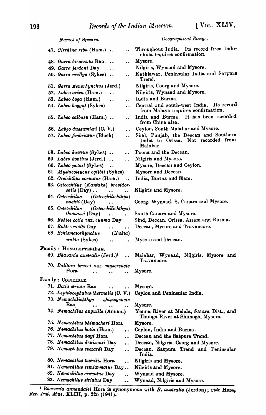| Names of Species.                                                                               | Geographical Range.                                                                     |
|-------------------------------------------------------------------------------------------------|-----------------------------------------------------------------------------------------|
| 47. $Cirrhina reba$ (Ham.)<br>$\ddot{\phantom{a}}$                                              | Throughout India. Its record from Indo-<br>china requires confirmation.                 |
| 48. Garra bicornuta Rao<br>المعامد                                                              | Mysore.                                                                                 |
| 49. Garra jerdoni Day<br>$\ddot{\phantom{a}}$                                                   | Nilgiris, Wynaad and Mysore.                                                            |
| 50. Garra mullya (Sykes)                                                                        | Kathiawar, Peninsular India and Satpura<br>Trend.                                       |
| 51. Garra stenorhynchus (Jerd.)                                                                 | Nilgiris, Coorg and Mysore.                                                             |
| 52. Labeo ariza (Ham.)                                                                          | Nilgiris, Wynaad and Mysore.                                                            |
| 53. Labeo boga (Ham.)<br>$\ddot{\phantom{a}}$<br>$\ddot{\phantom{a}}$                           | India and Burma.                                                                        |
| 54. Labeo boggut (Sykes)<br>$\ddot{\bullet}$                                                    | Central and south-west India. Its record<br>from Malaya requires confirmation.          |
| 55. Labeo calbasu (Ham.)<br>$\ddot{\phantom{0}}$                                                | India and Burma. It has been recorded<br>from China also.                               |
| 56. Labeo dussumieri (C. V.)                                                                    | Ceylon, South Malabar and Mysore.                                                       |
| 57. Labeo fimbriatus (Bloch)<br>. .                                                             | Sind, Punjab, the Decean and Southern<br>India to Orissa. Not recorded from<br>Malabar. |
| 58. Labeo kaurus (Sykes)<br>$\ddot{\phantom{a}}$                                                | Poona and the Deccan.                                                                   |
| 59. Labeo kontius (Jerd.)<br>$\ddot{\phantom{a}}$<br>$\ddot{\bullet}$ $\ddot{\bullet}$          | Nilgiris and Mysore.                                                                    |
| 60. Labeo potail (Sykes)                                                                        | Mysore, Deccan and Ceylon.                                                              |
| 61. Mystacoleucus ogilbii (Sykes)                                                               | Mysore and Deccan.                                                                      |
| 62. Oreichthys cosuatus (Ham.)<br>$\ddot{\phantom{a}}$                                          | India, Burma and Siam.                                                                  |
| 63. Osteochilus (Kantaka) brevidor-<br>$salis$ (Day)<br>$\cdot$ $\cdot$<br>$\ddot{\phantom{a}}$ | Nilgiris and Mysore.                                                                    |
| (Osteochilichthys)<br>64. Osteochilus<br>nashii $(Day)$<br>$\ddot{\bullet}$                     | Coorg, Wynaad, S. Canara and Mysore.                                                    |
| (Osteochilichthys)<br>65. Osteochilus<br>$thomassi$ (Day)<br>$\ddot{\phantom{1}}$               | South Canara and Mysore.                                                                |
| 66. Rohtee cotio var. cunma Day                                                                 | Sind, Deccan, Orissa, Assam and Burma.                                                  |
| 67. Rohtee neilli Day<br>$\ddot{\phantom{0}}$                                                   | Deccan, Mysore and Travancore.                                                          |
| 68. Schismatorhynchus<br>(Nukta)                                                                |                                                                                         |
| nukta (Sykes)<br>$\ddot{\phantom{0}}$                                                           | Mysore and Deccan.                                                                      |
| Family : HOMALOPTERIDAE.                                                                        |                                                                                         |
| 69. Bhavania australis (Jerd.) <sup>1</sup>                                                     | Malabar, Wynaad, Nilgiris, Mysore and<br>Travancore.                                    |
| 70. Balitora brucei var. mysorensis<br><b>Hora</b><br>$\ddot{\phantom{a}}$                      | Mysore.                                                                                 |
| Family : COBITIDAE.                                                                             |                                                                                         |
| 71. Botia striata Rao<br>$\ddot{\phantom{0}}$                                                   | Mysore.                                                                                 |
| 72. Lepidocephalus.thermalis (C.V.)                                                             | Ceylon and Peninsular India.                                                            |
| 73. Nemachilichthys<br>shimogensis<br>Rao                                                       | Mysore.                                                                                 |
| 74. Nemachilus anguilla (Annan.)                                                                | Yenna River at Mehda, Satara Dist., and<br>Thunga River at Shimoga, Mysore.             |
| 75. Nemachilus bhimachari Hora                                                                  | Mysore.                                                                                 |
| 76. Nemachilus botia (Ham.)<br>$\ddot{\bullet}$                                                 | Ceylon, India and Burma.                                                                |
| 77. Nemachilus dayi Hora<br>$\ddot{\phantom{0}}$                                                | Deccan and the Satpura Trend.                                                           |
| 78. Nemachilus denisonii Day<br>$\ddot{\phantom{0}}$                                            | Deccan, Nilgiris, Coorg and Mysore.                                                     |
| 79. Nemach lus evezardi Day<br>$\ddot{\phantom{0}}$                                             | Deccan, Satpura Trend and Peninsular<br>India.                                          |
| 80. Nemachilus monilis Hora<br>$\ddot{\phantom{0}}$                                             | Nilgiris and Mysore.                                                                    |
| 81. Nemachilus semiarmatus Day                                                                  | Nilgiris and Mysore.                                                                    |
| 82. Nemachilus sinuatus Day<br>$\ddot{\phantom{0}}$                                             | Wynaad and Mysore.                                                                      |
| 83. Nemachilus striatus Day<br>$\ddot{\phantom{0}}$                                             | Wynaad, Nilgiris and Mysore.                                                            |

<sup>&</sup>lt;sup>1</sup> Bhavania annandalei Hora is synonymous with *B. australis* (Jerdon); vide Hora, Rec. Ind. Mus. XLIII, p. 225 (1941).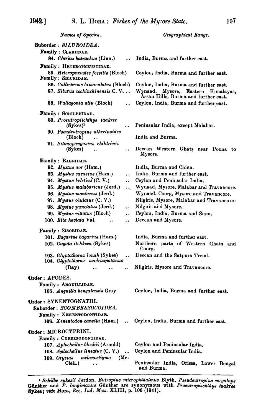| Names of Species.                                                  |                                                      | Geographical Range.                                                           |
|--------------------------------------------------------------------|------------------------------------------------------|-------------------------------------------------------------------------------|
| Suborder: SILUROIDEA.                                              |                                                      |                                                                               |
| Family : CLARIIDAE.                                                |                                                      |                                                                               |
| 84. Charias batrachus (Linn.)                                      | $\ddot{\phantom{a}}$                                 | India, Burma and further east.                                                |
| Family: HETEROPNEUSTIDAE.                                          |                                                      |                                                                               |
|                                                                    | 85. Heteropneustes fossilis (Bloch)                  | Ceylon, India, Burma and further east.                                        |
| Family : SILURIDAE.                                                |                                                      |                                                                               |
|                                                                    | 86. Callichrous bimaculatus (Bloch)                  | Ceylon, India, Burma and further east.                                        |
|                                                                    | 87. Silurus cochinchinensis C.V                      | Wynaad, Mysore, Eastern<br>Himalayas,<br>Assan Hills, Burma and further east. |
| 88. Wallagonia attu (Bloch)                                        |                                                      | Ceylon, India, Burma and further east.                                        |
| Family : SCHILBEIDAE.                                              |                                                      |                                                                               |
| 89. Proeutropiichthys taakree<br>$(Sykes)^1$                       | $\ddot{\phantom{0}}$                                 | Peninsular India, except Malabar.                                             |
| 90. Pseudeutropius atherinoides                                    |                                                      | India and Burma.                                                              |
| (Bloch)<br>91. Silonopangasius childrenii                          |                                                      |                                                                               |
| (Sykes)                                                            | $\ddot{\phantom{a}}$                                 | Deccan Western Ghats near Poona to<br>Mysore.                                 |
| Family : BAGRIDAE.                                                 |                                                      |                                                                               |
| 92. Mystus aor (Ham.)                                              |                                                      | India, Burma and China.                                                       |
| 93. Mystus cavasius (Ham.)                                         | $\ddot{\phantom{a}}$                                 | India, Burma and further east.                                                |
| 94. Mystus keletius (C. V.)                                        | $\ddot{\phantom{a}}$                                 | Ceylon and Peninsular India.                                                  |
| 95. Mystus malabaricus (Jerd.)                                     | $\mathbf{Q}^{(1)}$                                   | Wynaad, Mysore, Malabar and Travancore.                                       |
| 96. Mystus montanus (Jerd.)                                        |                                                      | Wynaad, Coorg, Mysore and Travancore.                                         |
| 97. Mystus oculatus (C. V.)                                        |                                                      | Nilgiris, Mysore, Malabar and Travancore.                                     |
| 98. Mystus punctatus (Jerd.)                                       | $\ddot{\phantom{a}}$                                 | Nilgiris and Mysore.                                                          |
| 99. Mystus vittatus (Bloch)                                        | $\ddot{\phantom{a}}$                                 | Ceylon, India, Burma and Siam.                                                |
| 100. Rita hastata Val.                                             | $\ddot{\phantom{a}}$<br>$\ddot{\phantom{a}}$         | Deccan and Mysore.                                                            |
| Family : SISORIDAE.                                                |                                                      |                                                                               |
| 101. Bagarius bagarius (Ham.)                                      |                                                      | India, Burma and further east.                                                |
| 102. Gagata itchkeea (Sykes)                                       |                                                      | Northern parts of Western Ghats and<br>Coorg.                                 |
| 103. Glyptothorax lonah (Sykes)<br>104. Glyptothorax madraspatanus | $\ddot{\phantom{a}}$                                 | Deccan and the Satpura Trend.                                                 |
| (Day)                                                              |                                                      | Nilgiris, Mysore and Travancore.                                              |
| Order: APODES.                                                     |                                                      |                                                                               |
| Family: ANGUILLIDAE.                                               |                                                      |                                                                               |
| 105. Anguilla bengalensis Gray                                     |                                                      | Ceylon, India, Burma and further east.                                        |
| Order: SYNENTOGNATHI.                                              |                                                      |                                                                               |
| Suborder: SCOMBRESOCOIDEA.                                         |                                                      |                                                                               |
| Family : XENENTODONTIDAE.                                          |                                                      |                                                                               |
| 106. Xenentodon cancila (Ham.)                                     | $\bullet$                                            | Ceylon, India, Burma and further east.                                        |
| Order: MICROCYPRINI.                                               |                                                      |                                                                               |
| Family : CYPRINODONTIDAE.                                          |                                                      |                                                                               |
| 107. Aplocheilus blockii (Arnold)                                  |                                                      | Ceylon and Peninsular India.                                                  |
| 108. $A plochelus lineatus (C. V.)$                                | $\bullet$ $\bullet$                                  | Ceylon and Peninsular India.                                                  |
| 109. Oryzias                                                       | melanostigma<br>$(Mc-$                               |                                                                               |
| Clell.)                                                            | Peninsular India, Orissa, Lower Bengal<br>and Burma. |                                                                               |

<sup>1</sup> Schilbe sykesii Jerdon, Eutropius microphthalmus Blyth, Pseudeutropius megalops<br>Günther and P. longimanus Günther are synonymous with Proeutropiichthys taakree<br>Sykes; vide Hora, Rec. Ind. Mus. XLIII, p. 106 (1941).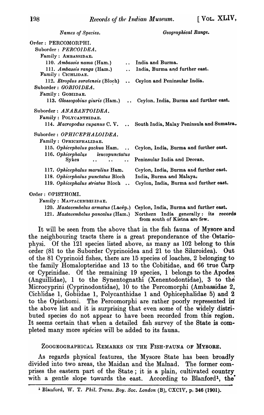*Names of Specie8. Geographical Range.*  Order: PERCOMORPHI. Suborder: *PERGOIDEA.*  Family: AMBASSIDAE. 110. *Ambassis nama* (Ham.) India and Burma. 111. *Ambassis ranga* (Ham.) .. India, Burma and further east. Family: CICHLIDAE. 112. *Etroplus suratensis* (Bloch) .. Ceylon and Peninsular India. Suborder: *GOBIOIDEA*. Family: GOBIIDAE. 113. *Glossogobius giuris* (Ham.) .. Ceylon. India, Burma and further east. Suborder: *ANABANTOIDEA.*  Family: POLYCANTHIDAE. 114. *fflacropodu8 cupanus* C. V. •. South India, Malay Peninsula and Sumatra. Suborder: *OPHIGEPHALOIDEA.*  Family: OPHICEPHALIDAE. 115. *Ophicephalus gachua* Ham. Ceylon, India, Burma and further east.  $\sim$ 116. *Ophicephalus* leucopunctatus Peninsular India and Deccan. Sykes  $\ddot{\bullet}$  $\ddot{\phantom{0}}$ 117. *Ophicephalus marulius* Ham. Ceylon, India, Burma and further east. 118. *Ophicephalus punctatu8* Bloch India, Burma and Malaya; Cey lon, India, Burma and further, east. 119. *Ophicephalu8 striatu8* Bloch Order: OPISTHOMI. Family: MASTACEMBET.IDAE. 120. *Mastacembelus armatus* (Lacép.) Ceylon, India, Burma and further east. 121. *Mastacembelus pancalus* (Ham.) Northern India generally: its records from south of Kistna are few.

It will be seen from the above that in the fish fauna of Mysore and the neighbouring tracts there is a great preponderance of the- Ostariophysi. Of the 121 species listed above, as many as 102 belong to this order (81 to the Suborder Cyprinoidea and 21 to the Siluroidea). Out of the 81 Cyprinoid fishes, there are 15 species of loaches, 2 belonging to the family Homalopteridae and 13 to the Cobitidae, and 66 true Carp or Cyprinidae. Of the remaining 19 species, 1 belongs to the Apodes (Anguillidae), 1 to the Synentognathi (Xenentodontidae), 3 to the Microcyprini (Cyprinodontidae), 10 to the Percomorphi (Ambassidae 2, Cicblidae 1, Gobiidae 1, Polycanthidae 1 and Ophicephalidae 5) and 2 to the Opisthomi. The Percomorphi are rather poorly represented in the above list and it is surprising that even some of the widely distributed species do not appear to have been recorded from this region. It seems certain that when a detailed fish survey of the State is completed many more species will be added to its fauna.

## ZOOGEOGRAPHICAL REMARKS ON THE FISH-FAUNA OF MYSORE.

As regards physical features, the Mysore State has been broadly divided into two areas, the Maidan and the Malnad. The former comprises the eastern part of the State; it is a plain, cultivated country with a gentle slope towards the east. According to Blanford<sup>1</sup>, the

<sup>&</sup>lt;sup>1</sup> Blanford, W. T. *Phil. Trans. Roy. Soc. London* (B), CXCIV, p. 346 (1901).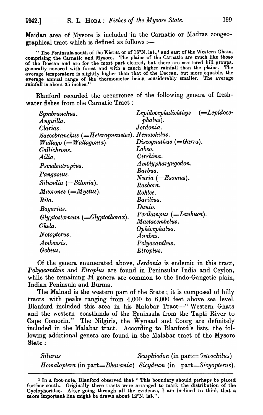Maidan area of Mysore is included in the Carnatic or Madras zoogeographical tract which is defined as follows :-

" The Peninsula south of the Kistna or of  $16^\circ$ N. lat.,<sup>1</sup> and east of the Western Ghats, comprising the Carnatic and Mysore. The plains of the Carnatic are much like those of the Deccan and are for the most part cleared, but there are scattered hill groups, generally covered with forest and with a much higher rainfall, than the plains. The average temperature is slightly higher than that of the Deccan, but more equable, the average annual range of the thermometer being considerably smaller. The average rainfall is about 35 inches."

Blanford recorded the occurrence of the following genera of freshwater fishes from the Carnatic Tract:

| Symbranchus.                                  | $Lepidocephalichthys$ (=Lepidoce- |
|-----------------------------------------------|-----------------------------------|
| Anguilla.                                     | phalus).                          |
| Clarias.                                      | Jerdonia.                         |
| $Sacobranchus (=Heteropneustes).$ Nemachilus. |                                   |
| $\textit{Wallago}$ (=Wallagonia).             | $Discognathus (=Garra).$          |
| Callichrons.                                  | Labeo.                            |
| Ailia.                                        | Cirrhina.                         |
| Pseudeutropius.                               | Amblypharyngodon.                 |
| Pangasius.                                    | Barbus.                           |
|                                               | $Nuria (=Esonus).$                |
| $Silundia (=Silonia).$                        | Rasbora.                          |
| Macrones (= Mystus).                          | Rohtee.                           |
| Rita.                                         | Barlius.                          |
| Bagarius.                                     | Danio.                            |
| $Glyptosternum (=Glyptothorax).$              | $Perilampus (=Laubuoa).$          |
|                                               | Mastacembelus.                    |
| Chela.                                        | Ophicephalus.                     |
| Notopterus.                                   | Anabas.                           |
| Ambassis.                                     | Polyacanthus.                     |
| Gobius.                                       | Etroplus.                         |

Of the genera enumerated above, *Jerdonia* is endemic in this tract, *Polyacanthus* and *Etroplus* are found in Peninsular India and Ceylon, while the remaining  $34$  genera are common to the Indo-Gangetic plain, Indian Peninsula and Burma.

The Malnad is the western part of the State; it is composed of hilly tracts with peaks ranging from 4,000 to 6,000 feet above sea level. Blanford included this area in his Malabar Tract-" Western Ghats and the western coastlands of the Peninsula from the Tapti River to Cape Comorin." The Nilgiris, the Wynaad and Coorg are definitely included in the Malabar tract. According to Blanford's lists, the following additional genera are found in the Malabar tract of the Mysore State :

*Silurus Scaphiodon* (in part= *Osteochilus) Homaloptera* (in part=*Bhavania) Sicydium* (in part=Sicyopterus).

<sup>&</sup>lt;sup>1</sup> In a foot-note, Blanford observed that "This boundary should perhaps be placed further south. Originally these tracts were arranged to mark the distribution of the Cyclophoridae. After going through all the evidence, I am inclined to think that  $\boldsymbol{\omega}$ more important line might be drawn about 12°N. lat.".